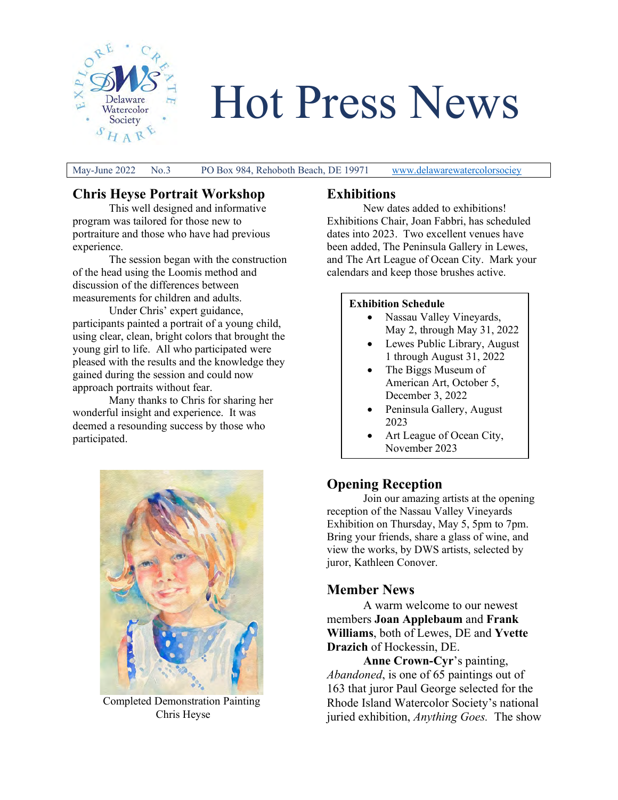

Hot Press News

May-June 2022 No.3 PO Box 984, Rehoboth Beach, DE 19971 [www.delawarewatercolorsociey](http://www.delawarewatercolorsociey/)

# **Chris Heyse Portrait Workshop**

This well designed and informative program was tailored for those new to portraiture and those who have had previous experience.

The session began with the construction of the head using the Loomis method and discussion of the differences between measurements for children and adults.

Under Chris' expert guidance, participants painted a portrait of a young child, using clear, clean, bright colors that brought the young girl to life. All who participated were pleased with the results and the knowledge they gained during the session and could now approach portraits without fear.

 Many thanks to Chris for sharing her wonderful insight and experience. It was deemed a resounding success by those who participated.



Completed Demonstration Painting Chris Heyse

## **Exhibitions**

New dates added to exhibitions! Exhibitions Chair, Joan Fabbri, has scheduled dates into 2023. Two excellent venues have been added, The Peninsula Gallery in Lewes, and The Art League of Ocean City. Mark your calendars and keep those brushes active.

#### **Exhibition Schedule**

- Nassau Valley Vineyards, May 2, through May 31, 2022
- Lewes Public Library, August 1 through August 31, 2022
- The Biggs Museum of American Art, October 5, December 3, 2022
- Peninsula Gallery, August 2023
- Art League of Ocean City, November 2023

## **Opening Reception**

Join our amazing artists at the opening reception of the Nassau Valley Vineyards Exhibition on Thursday, May 5, 5pm to 7pm. Bring your friends, share a glass of wine, and view the works, by DWS artists, selected by juror, Kathleen Conover.

### **Member News**

A warm welcome to our newest members **Joan Applebaum** and **Frank Williams**, both of Lewes, DE and **Yvette Drazich** of Hockessin, DE.

**Anne Crown-Cyr**'s painting, *Abandoned*, is one of 65 paintings out of 163 that juror Paul George selected for the Rhode Island Watercolor Society's national juried exhibition, *Anything Goes.* The show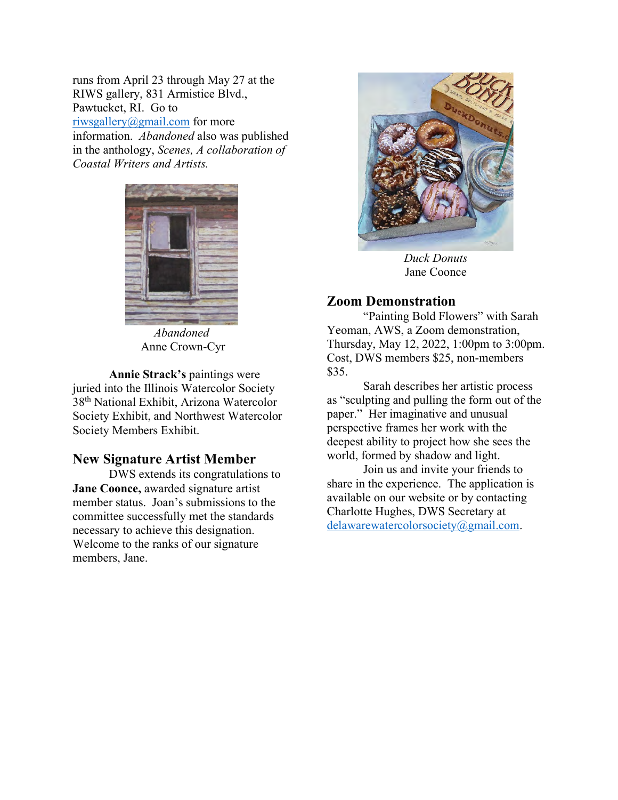runs from April 23 through May 27 at the RIWS gallery, 831 Armistice Blvd., Pawtucket, RI. Go to [riwsgallery@gmail.com](mailto:riwsgallery@gmail.com) for more information. *Abandoned* also was published in the anthology, *Scenes, A collaboration of Coastal Writers and Artists.*



*Abandoned*  Anne Crown-Cyr

**Annie Strack's** paintings were juried into the Illinois Watercolor Society 38th National Exhibit, Arizona Watercolor Society Exhibit, and Northwest Watercolor Society Members Exhibit.

#### **New Signature Artist Member**

DWS extends its congratulations to **Jane Coonce,** awarded signature artist member status. Joan's submissions to the committee successfully met the standards necessary to achieve this designation. Welcome to the ranks of our signature members, Jane.



*Duck Donuts*  Jane Coonce

#### **Zoom Demonstration**

"Painting Bold Flowers" with Sarah Yeoman, AWS, a Zoom demonstration, Thursday, May 12, 2022, 1:00pm to 3:00pm. Cost, DWS members \$25, non-members \$35.

Sarah describes her artistic process as "sculpting and pulling the form out of the paper." Her imaginative and unusual perspective frames her work with the deepest ability to project how she sees the world, formed by shadow and light.

 Join us and invite your friends to share in the experience. The application is available on our website or by contacting Charlotte Hughes, DWS Secretary at [delawarewatercolorsociety@gmail.com.](mailto:delawarewatercolorsociety@gmail.com)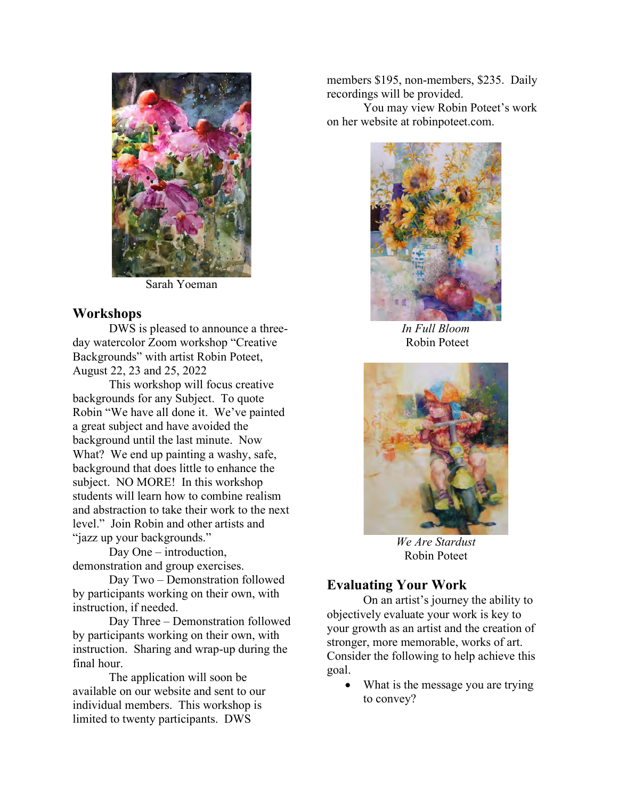

Sarah Yoeman

### **Workshops**

DWS is pleased to announce a threeday watercolor Zoom workshop "Creative Backgrounds" with artist Robin Poteet, August 22, 23 and 25, 2022

 This workshop will focus creative backgrounds for any Subject. To quote Robin "We have all done it. We've painted a great subject and have avoided the background until the last minute. Now What? We end up painting a washy, safe, background that does little to enhance the subject. NO MORE! In this workshop students will learn how to combine realism and abstraction to take their work to the next level." Join Robin and other artists and "jazz up your backgrounds."

Day One – introduction, demonstration and group exercises.

Day Two – Demonstration followed by participants working on their own, with instruction, if needed.

Day Three – Demonstration followed by participants working on their own, with instruction. Sharing and wrap-up during the final hour.

The application will soon be available on our website and sent to our individual members. This workshop is limited to twenty participants. DWS

members \$195, non-members, \$235. Daily recordings will be provided.

 You may view Robin Poteet's work on her website at robinpoteet.com.



*In Full Bloom*  Robin Poteet



*We Are Stardust*  Robin Poteet

## **Evaluating Your Work**

On an artist's journey the ability to objectively evaluate your work is key to your growth as an artist and the creation of stronger, more memorable, works of art. Consider the following to help achieve this goal.

What is the message you are trying to convey?